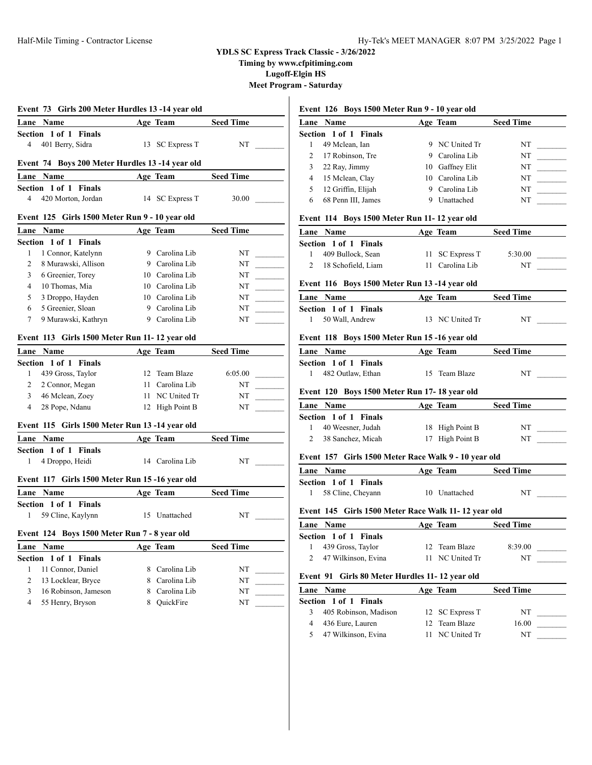**Timing by www.cfpitiming.com**

**Lugoff-Elgin HS**

**Meet Program - Saturday**  $\mathbf{L}$ 

|                                    | Event 73 Girls 200 Meter Hurdles 13 -14 year old |                 |                                  |                | Event 126 Boys 1500 Meter Run 9 - 10 year old        |                 |                     |
|------------------------------------|--------------------------------------------------|-----------------|----------------------------------|----------------|------------------------------------------------------|-----------------|---------------------|
| Lane Name                          |                                                  | Age Team        | <b>Seed Time</b>                 |                | Lane Name                                            | Age Team        | <b>Seed Time</b>    |
| Section 1 of 1 Finals              |                                                  |                 |                                  |                | Section 1 of 1 Finals                                |                 |                     |
| 401 Berry, Sidra<br>4              |                                                  | 13 SC Express T | NT                               | 1              | 49 Mclean, Ian                                       | 9 NC United Tr  | NT                  |
|                                    |                                                  |                 |                                  | 2              | 17 Robinson, Tre                                     | 9 Carolina Lib  | NT                  |
|                                    | Event 74 Boys 200 Meter Hurdles 13 -14 year old  |                 |                                  | 3              | 22 Ray, Jimmy                                        | 10 Gaffney Elit | NT                  |
| Lane Name                          |                                                  | Age Team        | <b>Seed Time</b>                 | $\overline{4}$ | 15 Mclean, Clay                                      | 10 Carolina Lib | NT                  |
| Section 1 of 1 Finals              |                                                  |                 |                                  | 5              | 12 Griffin, Elijah                                   | 9 Carolina Lib  | NT                  |
| 4                                  | 420 Morton, Jordan                               | 14 SC Express T | 30.00                            | 6              | 68 Penn III, James                                   | 9 Unattached    | NT                  |
|                                    | Event 125 Girls 1500 Meter Run 9 - 10 year old   |                 |                                  |                | Event 114 Boys 1500 Meter Run 11-12 year old         |                 |                     |
| Lane Name                          |                                                  | Age Team        | <b>Seed Time</b>                 |                | Lane Name                                            | Age Team        | <b>Seed Time</b>    |
| Section 1 of 1 Finals              |                                                  |                 |                                  |                | Section 1 of 1 Finals                                |                 |                     |
| $\mathbf{1}$                       | 1 Connor, Katelynn                               | 9 Carolina Lib  | NT<br><u> Liberatura de la p</u> | $\mathbf{1}$   | 409 Bullock, Sean                                    | 11 SC Express T | 5:30.00             |
| $\overline{2}$                     | 8 Murawski, Allison                              | 9 Carolina Lib  | NT                               |                | 2 18 Schofield, Liam                                 | 11 Carolina Lib | $NT_{-}$            |
| 3<br>6 Greenier, Torey             |                                                  | 10 Carolina Lib | NT                               |                |                                                      |                 |                     |
| 4<br>10 Thomas, Mia                |                                                  | 10 Carolina Lib | NT                               |                | Event 116 Boys 1500 Meter Run 13-14 year old         |                 |                     |
| 5                                  | 3 Droppo, Hayden                                 | 10 Carolina Lib | NT                               |                | Lane Name                                            | Age Team        | <b>Seed Time</b>    |
| 5 Greenier, Sloan<br>6             |                                                  | 9 Carolina Lib  | NT                               |                | Section 1 of 1 Finals                                |                 |                     |
| 7                                  | 9 Murawski, Kathryn                              | 9 Carolina Lib  | NT                               |                | 1 50 Wall, Andrew                                    | 13 NC United Tr | NT                  |
|                                    | Event 113 Girls 1500 Meter Run 11-12 year old    |                 |                                  |                | Event 118 Boys 1500 Meter Run 15-16 year old         |                 |                     |
| Lane Name                          |                                                  | Age Team        | <b>Seed Time</b>                 |                | Lane Name                                            | Age Team        | <b>Seed Time</b>    |
| Section 1 of 1 Finals              |                                                  |                 |                                  |                | Section 1 of 1 Finals                                |                 |                     |
| 1                                  | 439 Gross, Taylor                                | 12 Team Blaze   | 6:05.00                          |                | 1 482 Outlaw, Ethan                                  | 15 Team Blaze   | $NT$ <sub>-</sub>   |
| 2<br>2 Connor, Megan               |                                                  | 11 Carolina Lib | NT                               |                |                                                      |                 |                     |
| 3<br>46 Mclean, Zoey               |                                                  | 11 NC United Tr | NT                               |                | Event 120 Boys 1500 Meter Run 17-18 year old         |                 |                     |
| 4<br>28 Pope, Ndanu                |                                                  | 12 High Point B | NT                               |                | Lane Name                                            | Age Team        | <b>Seed Time</b>    |
|                                    |                                                  |                 |                                  |                | Section 1 of 1 Finals                                |                 |                     |
|                                    | Event 115 Girls 1500 Meter Run 13 -14 year old   |                 |                                  | 1              | 40 Weesner, Judah                                    | 18 High Point B | $NT_$               |
| Lane Name                          |                                                  | Age Team        | <b>Seed Time</b>                 | $\overline{2}$ | 38 Sanchez, Micah                                    | 17 High Point B | $NT_$               |
| Section 1 of 1 Finals              |                                                  |                 |                                  |                | Event 157 Girls 1500 Meter Race Walk 9 - 10 year old |                 |                     |
| 4 Droppo, Heidi<br>1               |                                                  | 14 Carolina Lib | NT                               |                |                                                      |                 |                     |
|                                    | Event 117 Girls 1500 Meter Run 15 -16 year old   |                 |                                  |                | Lane Name                                            | Age Team        | <b>Seed Time</b>    |
|                                    |                                                  |                 |                                  |                | Section 1 of 1 Finals                                |                 |                     |
| Lane Name                          |                                                  | Age Team        | <b>Seed Time</b>                 |                | 1 58 Cline, Cheyann                                  | 10 Unattached   | $NT_{-}$            |
| Section 1 of 1 Finals              |                                                  |                 |                                  |                | Event 145 Girls 1500 Meter Race Walk 11-12 year old  |                 |                     |
| 1 59 Cline, Kaylynn                |                                                  | 15 Unattached   | NT                               |                | Lane Name                                            | Age Team        | <b>Seed Time</b>    |
|                                    | Event 124 Boys 1500 Meter Run 7 - 8 year old     |                 |                                  |                |                                                      |                 |                     |
|                                    |                                                  |                 | <b>Seed Time</b>                 | $\mathbf{1}$   | Section 1 of 1 Finals<br>439 Gross, Taylor           | 12 Team Blaze   |                     |
| Lane Name<br>Section 1 of 1 Finals |                                                  | Age Team        |                                  | 2              | 47 Wilkinson, Evina                                  | 11 NC United Tr | 8:39.00<br>$NT_{-}$ |
| 1                                  | 11 Connor, Daniel                                | 8 Carolina Lib  | NT                               |                |                                                      |                 |                     |
| 2                                  | 13 Locklear, Bryce                               | 8 Carolina Lib  | NT                               |                | Event 91 Girls 80 Meter Hurdles 11-12 year old       |                 |                     |
| 3                                  | 16 Robinson, Jameson                             | 8 Carolina Lib  | NT                               | Lane Name      |                                                      | Age Team        | <b>Seed Time</b>    |
| 4                                  | 55 Henry, Bryson                                 | 8 QuickFire     | NT                               |                | Section 1 of 1 Finals                                |                 |                     |
|                                    |                                                  |                 |                                  | 3              | 405 Robinson, Madison                                | 12 SC Express T | $NT_{-}$            |
|                                    |                                                  |                 |                                  | 4              | 436 Eure, Lauren                                     | 12 Team Blaze   | 16.00               |
|                                    |                                                  |                 |                                  | 5              | 47 Wilkinson, Evina                                  | 11 NC United Tr | NT                  |
|                                    |                                                  |                 |                                  |                |                                                      |                 |                     |
|                                    |                                                  |                 |                                  |                |                                                      |                 |                     |
|                                    |                                                  |                 |                                  |                |                                                      |                 |                     |
|                                    |                                                  |                 |                                  |                |                                                      |                 |                     |

# **Event 126 Boys 1500 Meter Run 9 - 10 year old**

| Lane Name                                            |    | Age Team        | <b>Seed Time</b> |
|------------------------------------------------------|----|-----------------|------------------|
| <b>Section 1 of 1 Finals</b>                         |    |                 |                  |
| 1<br>49 Mclean, Ian                                  |    | 9 NC United Tr  | NT               |
| 2<br>17 Robinson, Tre                                |    | 9 Carolina Lib  | NT               |
| 3<br>22 Ray, Jimmy                                   |    | 10 Gaffney Elit | NT               |
| $\overline{4}$<br>15 Mclean, Clay                    |    | 10 Carolina Lib | NT               |
| 5<br>12 Griffin, Elijah                              |    | 9 Carolina Lib  | NT               |
| 6<br>68 Penn III, James                              |    | 9 Unattached    | NT               |
| Event 114 Boys 1500 Meter Run 11-12 year old         |    |                 |                  |
| Lane Name                                            |    | Age Team        | Seed Time        |
| Section 1 of 1 Finals                                |    |                 |                  |
| 1<br>409 Bullock, Sean                               | 11 | SC Express T    | 5:30.00          |
| 2<br>18 Schofield, Liam                              | 11 | Carolina Lib    | NT               |
| Event 116 Boys 1500 Meter Run 13 -14 year old        |    |                 |                  |
| Lane Name                                            |    | Age Team        | <b>Seed Time</b> |
| Section 1 of 1 Finals                                |    |                 |                  |
| 1<br>50 Wall, Andrew                                 |    | 13 NC United Tr | NT               |
|                                                      |    |                 |                  |
| Event 118 Boys 1500 Meter Run 15-16 year old         |    |                 |                  |
| Lane Name                                            |    | Age Team        | <b>Seed Time</b> |
| Section 1 of 1 Finals                                |    |                 |                  |
| 1<br>482 Outlaw, Ethan                               |    | 15 Team Blaze   | NT               |
| Event 120 Boys 1500 Meter Run 17-18 year old         |    |                 |                  |
| Lane Name                                            |    | Age Team        | <b>Seed Time</b> |
| Section 1 of 1 Finals                                |    |                 |                  |
| 1<br>40 Weesner, Judah                               | 18 | High Point B    | NT               |
| 38 Sanchez, Micah<br>2                               | 17 | High Point B    | NT               |
| Event 157 Girls 1500 Meter Race Walk 9 - 10 year old |    |                 |                  |
| Lane Name                                            |    | Age Team        | <b>Seed Time</b> |
| Section 1 of 1 Finals                                |    |                 |                  |
| 1<br>58 Cline, Cheyann                               |    | 10 Unattached   | NT               |
| Event 145 Girls 1500 Meter Race Walk 11-12 year old  |    |                 |                  |
| Lane Name                                            |    | Age Team        | <b>Seed Time</b> |
| Section 1 of 1 Finals                                |    |                 |                  |
| 1<br>439 Gross, Taylor                               |    | 12 Team Blaze   | 8:39.00          |
| 2<br>47 Wilkinson, Evina                             |    | 11 NC United Tr | NT               |
| Event 91<br>Girls 80 Meter Hurdles 11-12 year old    |    |                 |                  |
| Lane<br>Name                                         |    | Age Team        | <b>Seed Time</b> |
| Section<br>1 of 1<br><b>Finals</b>                   |    |                 |                  |
| 3<br>405 Robinson, Madison                           | 12 | SC Express T    | NT               |
| 4<br>436 Eure, Lauren                                | 12 | Team Blaze      | 16.00            |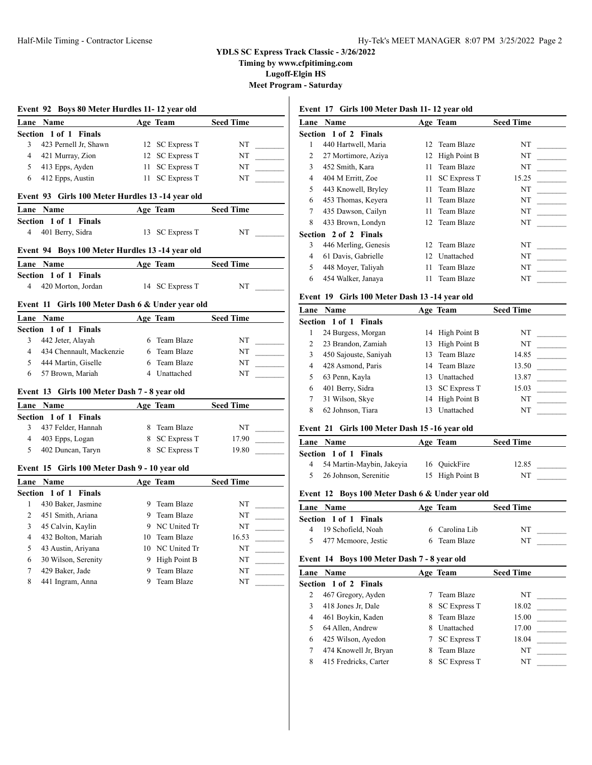**Timing by www.cfpitiming.com**

**Lugoff-Elgin HS**

**Meet Program - Saturday**

 $\overline{\phantom{a}}$ 

|                | Lane Name                                        |      | Age Team            | <b>Seed Time</b> |
|----------------|--------------------------------------------------|------|---------------------|------------------|
|                | Section 1 of 1<br><b>Finals</b>                  |      |                     |                  |
| 3              | 423 Pernell Jr, Shawn                            |      | 12 SC Express T     | NT               |
| $\overline{4}$ | 421 Murray, Zion                                 |      | 12 SC Express T     | NT               |
| 5              | 413 Epps, Ayden                                  | 11 - | <b>SC Express T</b> | NT               |
| 6              | 412 Epps, Austin                                 | 11   | <b>SC Express T</b> | NT               |
|                | Event 93 Girls 100 Meter Hurdles 13 -14 year old |      |                     |                  |
|                | Lane Name                                        |      | Age Team            | <b>Seed Time</b> |
|                | Section 1 of 1 Finals                            |      |                     |                  |
| 4              | 401 Berry, Sidra                                 | 13   | <b>SC Express T</b> | NT               |
|                | Event 94 Boys 100 Meter Hurdles 13 -14 year old  |      |                     |                  |
|                | Lane Name                                        |      | Age Team            | <b>Seed Time</b> |
|                | Section 1 of 1 Finals                            |      |                     |                  |
| 4              | 420 Morton, Jordan                               | 14   | <b>SC Express T</b> | NT               |
|                | Event 11 Girls 100 Meter Dash 6 & Under year old |      |                     |                  |
| Lane           | Name                                             |      | Age Team            | <b>Seed Time</b> |
|                | Section 1 of 1<br><b>Finals</b>                  |      |                     |                  |
| 3              | 442 Jeter, Alayah                                |      | 6 Team Blaze        | NT               |
| $\overline{4}$ | 434 Chennault, Mackenzie                         |      | 6 Team Blaze        | NT               |
| 5              | 444 Martin, Giselle                              |      | 6 Team Blaze        | NT               |
| 6              | 57 Brown, Mariah                                 |      | 4 Unattached        | NT               |
|                |                                                  |      |                     |                  |
|                | Event 13 Girls 100 Meter Dash 7 - 8 year old     |      |                     |                  |
|                | Lane Name                                        |      | Age Team            | <b>Seed Time</b> |
|                | Section 1 of 1 Finals                            |      |                     |                  |
| 3              | 437 Felder, Hannah                               | 8    | Team Blaze          | NT               |
| $\overline{4}$ | 403 Epps, Logan                                  |      | 8 SC Express T      | 17.90            |
| 5              | 402 Duncan, Taryn                                |      | 8 SC Express T      | 19.80            |
|                | Event 15 Girls 100 Meter Dash 9 - 10 year old    |      |                     |                  |
|                | Lane Name                                        |      | Age Team            | <b>Seed Time</b> |
|                | Section 1 of 1 Finals                            |      |                     |                  |
| 1              | 430 Baker, Jasmine                               |      | 9 Team Blaze        | NT               |
| 2              | 451 Smith, Ariana                                |      | 9 Team Blaze        | NT               |
| 3              | 45 Calvin, Kaylin                                |      | 9 NC United Tr      | NT               |
| 4              | 432 Bolton, Mariah                               |      | 10 Team Blaze       | 16.53            |
| 5              | 43 Austin, Ariyana                               |      | 10 NC United Tr     | NT               |
| 6              | 30 Wilson, Serenity                              |      | 9 High Point B      | NT               |
| 7              | 429 Baker, Jade                                  | 9    | Team Blaze          | NT               |

# **Event 17 Girls 100 Meter Dash 11- 12 year old**

| Lane | Name                         |    | Age Team            | <b>Seed Time</b> |
|------|------------------------------|----|---------------------|------------------|
|      | <b>Section 1 of 2 Finals</b> |    |                     |                  |
| 1    | 440 Hartwell, Maria          |    | 12 Team Blaze       | NT               |
| 2    | 27 Mortimore, Aziya          |    | 12 High Point B     | NT               |
| 3    | 452 Smith, Kara              | 11 | Team Blaze          | NT               |
| 4    | 404 M Erritt, Zoe            | 11 | <b>SC Express T</b> | 15.25            |
| 5    | 443 Knowell, Bryley          | 11 | Team Blaze          | NT               |
| 6    | 453 Thomas, Keyera           | 11 | Team Blaze          | NT               |
| 7    | 435 Dawson, Cailyn           | 11 | Team Blaze          | NT               |
| 8    | 433 Brown, Londyn            |    | 12 Team Blaze       | NT               |
|      | Section 2 of 2 Finals        |    |                     |                  |
| 3    | 446 Merling, Genesis         |    | 12 Team Blaze       | NT               |
| 4    | 61 Davis, Gabrielle          | 12 | Unattached          | NT               |
| 5    | 448 Moyer, Taliyah           | 11 | Team Blaze          | NT               |
| 6    | 454 Walker, Janaya           | 11 | Team Blaze          | NT               |
|      |                              |    |                     |                  |

# **Event 19 Girls 100 Meter Dash 13 -14 year old**

|   | <b>Lane Name</b>      |    | Age Team        | <b>Seed Time</b> |  |
|---|-----------------------|----|-----------------|------------------|--|
|   | Section 1 of 1 Finals |    |                 |                  |  |
|   | 24 Burgess, Morgan    |    | 14 High Point B | NT               |  |
|   | 23 Brandon, Zamiah    | 13 | High Point B    | NT               |  |
| 3 | 450 Sajouste, Saniyah |    | 13 Team Blaze   | 14.85            |  |
| 4 | 428 Asmond, Paris     |    | 14 Team Blaze   | 13.50            |  |
|   | 63 Penn, Kayla        | 13 | Unattached      | 13.87            |  |
| 6 | 401 Berry, Sidra      |    | 13 SC Express T | 15.03            |  |
|   | 31 Wilson, Skye       |    | 14 High Point B | NT               |  |
| 8 | 62 Johnson, Tiara     | 13 | Unattached      | NT               |  |
|   |                       |    |                 |                  |  |

# **Event 21 Girls 100 Meter Dash 15 -16 year old**

| <b>Lane Name</b>             | Age Team        | <b>Seed Time</b> |
|------------------------------|-----------------|------------------|
| <b>Section 1 of 1 Finals</b> |                 |                  |
| 4 54 Martin-Maybin, Jakeyia  | 16 OuickFire    | 12.85            |
| 26 Johnson, Serenitie        | 15 High Point B | NT               |
|                              |                 |                  |

# **Event 12 Boys 100 Meter Dash 6 & Under year old**

| <b>Lane Name</b>      | Age Team       | <b>Seed Time</b> |  |
|-----------------------|----------------|------------------|--|
| Section 1 of 1 Finals |                |                  |  |
| 4 19 Schofield, Noah  | 6 Carolina Lib | NT               |  |
| 5 477 Mcmoore, Jestic | 6 Team Blaze   | NT               |  |

# **Event 14 Boys 100 Meter Dash 7 - 8 year old**

|   | <b>Lane Name</b>             |    | Age Team            | <b>Seed Time</b> |  |
|---|------------------------------|----|---------------------|------------------|--|
|   | <b>Section 1 of 2 Finals</b> |    |                     |                  |  |
|   | 467 Gregory, Ayden           |    | Team Blaze          | NT               |  |
|   | 418 Jones Jr, Dale           | 8. | <b>SC Express T</b> | 18.02            |  |
|   | 461 Boykin, Kaden            | 8  | Team Blaze          | 15.00            |  |
|   | 64 Allen, Andrew             | 8  | Unattached          | 17.00            |  |
| 6 | 425 Wilson, Ayedon           |    | <b>SC Express T</b> | 18.04            |  |
|   | 474 Knowell Jr, Bryan        | 8  | Team Blaze          | NT               |  |
| 8 | 415 Fredricks, Carter        |    | <b>SC Express T</b> | NT               |  |
|   |                              |    |                     |                  |  |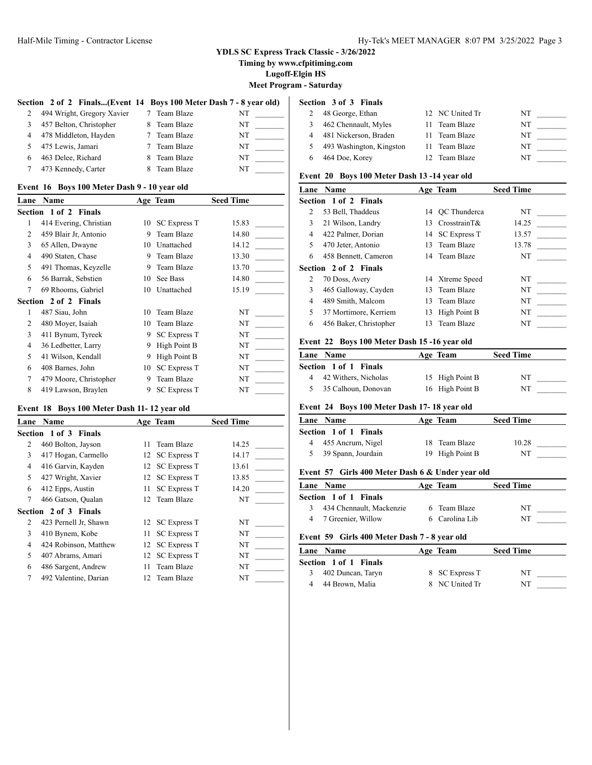**Timing by www.cfpitiming.com**

**Lugoff-Elgin HS**

**Meet Program - Saturday**

ı

#### Section 2 of 2 Finals...(Event 14 Boys 100 Meter Dash 7 - 8 year old) Section 3 of 3 Finals

| 2  | 494 Wright, Gregory Xavier | 7 Team Blaze | NT |
|----|----------------------------|--------------|----|
| 3  | 457 Belton, Christopher    | 8 Team Blaze | NT |
|    | 4 478 Middleton, Hayden    | 7 Team Blaze | NT |
|    | 5 475 Lewis, Jamari        | 7 Team Blaze | NT |
| 6. | 463 Delee, Richard         | 8 Team Blaze | NT |
| 7  | 473 Kennedy, Carter        | 8 Team Blaze | NT |

### **Event 16 Boys 100 Meter Dash 9 - 10 year old**

| Lane           | Name                   |    | Age Team            | <b>Seed Time</b> |  |
|----------------|------------------------|----|---------------------|------------------|--|
|                | Section 1 of 2 Finals  |    |                     |                  |  |
| 1              | 414 Evering, Christian | 10 | <b>SC Express T</b> | 15.83            |  |
| $\overline{c}$ | 459 Blair Jr, Antonio  | 9  | Team Blaze          | 14.80            |  |
| 3              | 65 Allen, Dwayne       | 10 | Unattached          | 14.12            |  |
| $\overline{4}$ | 490 Staten, Chase      | 9  | Team Blaze          | 13.30            |  |
| 5              | 491 Thomas, Keyzelle   | 9  | Team Blaze          | 13.70            |  |
| 6              | 56 Barrak, Sebstien    | 10 | See Bass            | 14.80            |  |
| 7              | 69 Rhooms, Gabriel     | 10 | Unattached          | 15.19            |  |
|                | Section 2 of 2 Finals  |    |                     |                  |  |
| 1              | 487 Siau, John         | 10 | Team Blaze          | NT               |  |
| 2              | 480 Moyer, Isaiah      | 10 | Team Blaze          | NT               |  |
| 3              | 411 Bynum, Tyreek      | 9  | <b>SC Express T</b> | NT               |  |
| 4              | 36 Ledbetter, Larry    | 9  | High Point B        | NT               |  |
| 5              | 41 Wilson, Kendall     | 9  | High Point B        | NT               |  |
| 6              | 408 Barnes, John       | 10 | <b>SC Express T</b> | NT               |  |
| 7              | 479 Moore, Christopher | 9  | Team Blaze          | NT               |  |
| 8              | 419 Lawson, Braylen    | 9  | <b>SC Express T</b> | NT               |  |

# **Event 18 Boys 100 Meter Dash 11- 12 year old**

| Lane | Name                         |    | Age Team            | <b>Seed Time</b> |
|------|------------------------------|----|---------------------|------------------|
|      | <b>Section 1 of 3 Finals</b> |    |                     |                  |
| 2    | 460 Bolton, Jayson           | 11 | Team Blaze          | 14.25            |
| 3    | 417 Hogan, Carmello          |    | 12 SC Express T     | 14.17            |
| 4    | 416 Garvin, Kayden           | 12 | <b>SC Express T</b> | 13.61            |
| 5    | 427 Wright, Xavier           |    | 12 SC Express T     | 13.85            |
| 6    | 412 Epps, Austin             | 11 | <b>SC Express T</b> | 14.20            |
| 7    | 466 Gatson, Qualan           |    | 12 Team Blaze       | NT               |
|      | Section 2 of 3 Finals        |    |                     |                  |
| 2    | 423 Pernell Jr, Shawn        |    | 12 SC Express T     | NT               |
| 3    | 410 Bynem, Kobe              | 11 | <b>SC Express T</b> | NT               |
| 4    | 424 Robinson, Matthew        |    | 12 SC Express T     | NT               |
| 5    | 407 Abrams, Amari            |    | 12 SC Express T     | NT               |
| 6    | 486 Sargent, Andrew          | 11 | Team Blaze          | NT               |
| 7    | 492 Valentine, Darian        |    | 12 Team Blaze       | NT               |

| 48 George, Ethan         | 12 NC United Tr | NT |
|--------------------------|-----------------|----|
| 462 Chennault, Myles     | 11 Team Blaze   | NT |
| 481 Nickerson, Braden    | 11 Team Blaze   | NT |
| 493 Washington, Kingston | 11 Team Blaze   | NT |
| 464 Doe, Korey           | 12 Team Blaze   | NT |

## **Event 20 Boys 100 Meter Dash 13 -14 year old**

| Lane | <b>Name</b>                  |     | Age Team        | <b>Seed Time</b> |  |
|------|------------------------------|-----|-----------------|------------------|--|
|      | <b>Section 1 of 2 Finals</b> |     |                 |                  |  |
|      | 53 Bell, Thaddeus            |     | 14 OC Thunderca | NT               |  |
| 3    | 21 Wilson, Landry            | 13. | $CrosstrainT\&$ | 14.25            |  |
| 4    | 422 Palmer, Dorian           |     | 14 SC Express T | 13.57            |  |
| 5    | 470 Jeter, Antonio           |     | 13 Team Blaze   | 13.78            |  |
| 6    | 458 Bennett, Cameron         |     | 14 Team Blaze   | NT               |  |
|      | Section 2 of 2 Finals        |     |                 |                  |  |
| 2    | 70 Doss, Avery               |     | 14 Xtreme Speed | NT               |  |
| 3    | 465 Galloway, Cayden         |     | 13 Team Blaze   | NT               |  |
| 4    | 489 Smith, Malcom            | 13  | Team Blaze      | NT               |  |
| 5    | 37 Mortimore, Kerriem        | 13  | High Point B    | NT               |  |
| 6    | 456 Baker, Christopher       | 13  | Team Blaze      | NT               |  |
|      |                              |     |                 |                  |  |

#### **Event 22 Boys 100 Meter Dash 15 -16 year old**

| Lane Name              | Age Team        | <b>Seed Time</b> |  |
|------------------------|-----------------|------------------|--|
| Section 1 of 1 Finals  |                 |                  |  |
| 4 42 Withers, Nicholas | 15 High Point B | NT               |  |
| 5 35 Calhoun, Donovan  | 16 High Point B | NT               |  |

# **Event 24 Boys 100 Meter Dash 17- 18 year old**

| Lane Name             | Age Team        | <b>Seed Time</b> |  |
|-----------------------|-----------------|------------------|--|
| Section 1 of 1 Finals |                 |                  |  |
| 4 455 Ancrum, Nigel   | 18 Team Blaze   | 10.28            |  |
| 39 Spann, Jourdain    | 19 High Point B | NT               |  |

# **Event 57 Girls 400 Meter Dash 6 & Under year old**

| <b>Lane Name</b>             | Age Team       | <b>Seed Time</b> |
|------------------------------|----------------|------------------|
| <b>Section 1 of 1 Finals</b> |                |                  |
| 3 434 Chennault, Mackenzie   | 6 Team Blaze   | NT               |
| 4 7 Greenier, Willow         | 6 Carolina Lib | NT               |

#### **Event 59 Girls 400 Meter Dash 7 - 8 year old**

| Lane Name             | Age Team       | <b>Seed Time</b> |
|-----------------------|----------------|------------------|
| Section 1 of 1 Finals |                |                  |
| 402 Duncan, Taryn     | 8 SC Express T | NT               |
| 44 Brown, Malia       | 8 NC United Tr | NT               |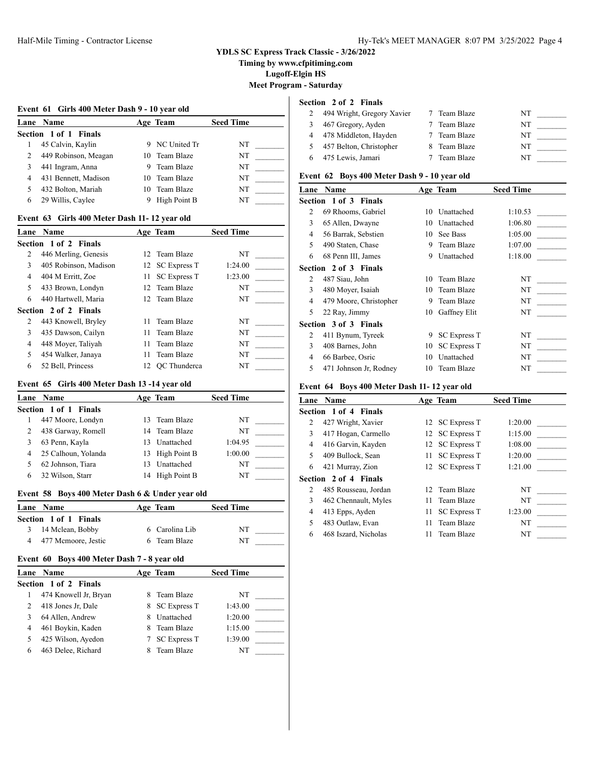**Timing by www.cfpitiming.com**

**Lugoff-Elgin HS**

**Meet Program - Saturday**

# **Event 61 Girls 400 Meter Dash 9 - 10 year old**

|   | Lane Name             |     | Age Team       | <b>Seed Time</b> |  |
|---|-----------------------|-----|----------------|------------------|--|
|   | Section 1 of 1 Finals |     |                |                  |  |
|   | 45 Calvin, Kaylin     |     | 9 NC United Tr | NT               |  |
| 2 | 449 Robinson, Meagan  |     | 10 Team Blaze  | NT               |  |
|   | 441 Ingram, Anna      |     | Team Blaze     | NT               |  |
| 4 | 431 Bennett, Madison  |     | 10 Team Blaze  | NT               |  |
|   | 432 Bolton, Mariah    | 10. | Team Blaze     | NT               |  |
| 6 | 29 Willis, Caylee     |     | High Point B   | NT               |  |

#### **Event 63 Girls 400 Meter Dash 11- 12 year old**

| Lane | <b>Name</b>           |     | Age Team            | <b>Seed Time</b> |  |
|------|-----------------------|-----|---------------------|------------------|--|
|      | Section 1 of 2 Finals |     |                     |                  |  |
| 2    | 446 Merling, Genesis  |     | 12 Team Blaze       | NT               |  |
| 3    | 405 Robinson, Madison |     | 12 SC Express T     | 1:24.00          |  |
| 4    | 404 M Erritt, Zoe     | 11  | <b>SC Express T</b> | 1:23.00          |  |
| 5    | 433 Brown, Londyn     |     | 12 Team Blaze       | NT               |  |
| 6    | 440 Hartwell, Maria   |     | 12 Team Blaze       | NT               |  |
|      | Section 2 of 2 Finals |     |                     |                  |  |
| 2    | 443 Knowell, Bryley   | 11  | Team Blaze          | NT               |  |
| 3    | 435 Dawson, Cailyn    | 11. | Team Blaze          | NT               |  |
| 4    | 448 Moyer, Taliyah    | 11  | Team Blaze          | NT               |  |
| 5    | 454 Walker, Janaya    | 11  | Team Blaze          | NT               |  |
| 6    | 52 Bell, Princess     |     | 12 OC Thunderca     | NT               |  |

# **Event 65 Girls 400 Meter Dash 13 -14 year old**

|   | Lane Name             |    | Age Team        | <b>Seed Time</b> |  |  |  |  |
|---|-----------------------|----|-----------------|------------------|--|--|--|--|
|   | Section 1 of 1 Finals |    |                 |                  |  |  |  |  |
|   | 447 Moore, Londyn     |    | 13 Team Blaze   | NT               |  |  |  |  |
| 2 | 438 Garway, Romell    |    | 14 Team Blaze   | NT               |  |  |  |  |
| 3 | 63 Penn, Kayla        | 13 | Unattached      | 1:04.95          |  |  |  |  |
| 4 | 25 Calhoun, Yolanda   |    | 13 High Point B | 1:00.00          |  |  |  |  |
|   | 62 Johnson, Tiara     | 13 | Unattached      | NT               |  |  |  |  |
| 6 | 32 Wilson, Starr      | 14 | High Point B    | NT               |  |  |  |  |

#### **Event 58 Boys 400 Meter Dash 6 & Under year old**

| Lane Name             | Age Team       | <b>Seed Time</b> |  |
|-----------------------|----------------|------------------|--|
| Section 1 of 1 Finals |                |                  |  |
| 3 14 Mclean, Bobby    | 6 Carolina Lib | NT               |  |
| 4 477 Mcmoore, Jestic | 6 Team Blaze   | NT               |  |

# **Event 60 Boys 400 Meter Dash 7 - 8 year old**

| <b>Lane</b> Name             |   | Age Team            | <b>Seed Time</b> |  |
|------------------------------|---|---------------------|------------------|--|
| <b>Section 1 of 2 Finals</b> |   |                     |                  |  |
| 474 Knowell Jr, Bryan        |   | Team Blaze          | NT               |  |
| 418 Jones Jr, Dale           | 8 | <b>SC Express T</b> | 1:43.00          |  |
| 64 Allen, Andrew             |   | Unattached          | 1:20.00          |  |
| 461 Boykin, Kaden            |   | Team Blaze          | 1:15.00          |  |
| 425 Wilson, Ayedon           |   | <b>SC Express T</b> | 1:39.00          |  |
| 463 Delee, Richard           |   | Team Blaze          | NT               |  |

# **Section 2 of 2 Finals**

| 494 Wright, Gregory Xavier | 7 Team Blaze | NT |
|----------------------------|--------------|----|
| 467 Gregory, Ayden         | Team Blaze   | NT |
| 4 478 Middleton, Hayden    | Team Blaze   | NT |
| 457 Belton, Christopher    | 8 Team Blaze | NT |
| 475 Lewis, Jamari          | Team Blaze   | NT |

# **Event 62 Boys 400 Meter Dash 9 - 10 year old**

| Lane | Name                         |    | Age Team            | <b>Seed Time</b> |
|------|------------------------------|----|---------------------|------------------|
|      | <b>Section 1 of 3 Finals</b> |    |                     |                  |
| 2    | 69 Rhooms, Gabriel           | 10 | Unattached          | 1:10.53          |
| 3    | 65 Allen, Dwayne             | 10 | Unattached          | 1:06.80          |
| 4    | 56 Barrak, Sebstien          | 10 | See Bass            | 1:05.00          |
| 5    | 490 Staten, Chase            | 9  | Team Blaze          | 1:07.00          |
| 6    | 68 Penn III, James           | 9  | Unattached          | 1:18.00          |
|      | Section 2 of 3 Finals        |    |                     |                  |
| 2    | 487 Siau, John               | 10 | Team Blaze          | NT               |
| 3    | 480 Moyer, Isaiah            | 10 | Team Blaze          | NT               |
| 4    | 479 Moore, Christopher       | 9  | Team Blaze          | NT               |
| 5    | 22 Ray, Jimmy                | 10 | Gaffney Elit        | NT               |
|      | <b>Section 3 of 3 Finals</b> |    |                     |                  |
| 2    | 411 Bynum, Tyreek            | 9  | <b>SC Express T</b> | NT               |
| 3    | 408 Barnes, John             | 10 | <b>SC Express T</b> | NT               |
| 4    | 66 Barbee, Osric             | 10 | Unattached          | NT               |
| 5    | 471 Johnson Jr, Rodney       |    | 10 Team Blaze       | NT               |

# **Event 64 Boys 400 Meter Dash 11- 12 year old**

| Lane | <b>Name</b>           |    | Age Team            | <b>Seed Time</b> |
|------|-----------------------|----|---------------------|------------------|
|      | Section 1 of 4 Finals |    |                     |                  |
| 2    | 427 Wright, Xavier    |    | 12 SC Express T     | 1:20.00          |
| 3    | 417 Hogan, Carmello   |    | 12 SC Express T     | 1:15.00          |
| 4    | 416 Garvin, Kayden    |    | 12 SC Express T     | 1:08.00          |
| 5    | 409 Bullock, Sean     | 11 | <b>SC Express T</b> | 1:20.00          |
| 6    | 421 Murray, Zion      |    | 12 SC Express T     | 1:21.00          |
|      | Section 2 of 4 Finals |    |                     |                  |
| 2    | 485 Rousseau, Jordan  |    | 12 Team Blaze       | NT               |
| 3    | 462 Chennault, Myles  | 11 | Team Blaze          | NT               |
| 4    | 413 Epps, Ayden       | 11 | <b>SC Express T</b> | 1:23.00          |
| 5    | 483 Outlaw, Evan      | 11 | Team Blaze          | NT               |
| 6    | 468 Iszard, Nicholas  | 11 | Team Blaze          | NT               |
|      |                       |    |                     |                  |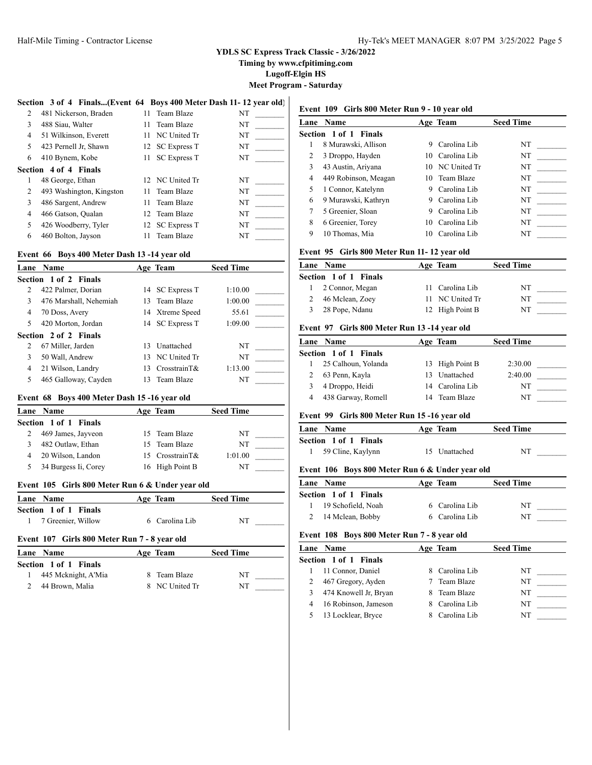**Timing by www.cfpitiming.com**

**Lugoff-Elgin HS**

**Meet Program - Saturday**

# **Section 3 of 4 Finals...(Event 64 Boys 400 Meter Dash 11- 12 year old)**

| 2  | 481 Nickerson, Braden    |     | 11 Team Blaze       | NT |
|----|--------------------------|-----|---------------------|----|
| 3  | 488 Siau, Walter         | 11  | Team Blaze          | NT |
| 4  | 51 Wilkinson, Everett    | 11  | NC United Tr        | NT |
| 5. | 423 Pernell Jr, Shawn    |     | 12 SC Express T     | NT |
| 6  | 410 Bynem, Kobe          | 11. | <b>SC Express T</b> | NT |
|    | Section 4 of 4 Finals    |     |                     |    |
| 1  | 48 George, Ethan         |     | 12 NC United Tr     | NT |
| 2  | 493 Washington, Kingston |     | 11 Team Blaze       | NT |
| 3  | 486 Sargent, Andrew      | 11. | Team Blaze          | NT |
| 4  | 466 Gatson, Qualan       |     | 12 Team Blaze       | NT |
| 5  | 426 Woodberry, Tyler     |     | 12 SC Express T     | NT |
| 6  | 460 Bolton, Jayson       | 11  | Team Blaze          | NT |
|    |                          |     |                     |    |

#### **Event 66 Boys 400 Meter Dash 13 -14 year old**

| Lane | <b>Name</b>            |     | Age Team        | <b>Seed Time</b> |
|------|------------------------|-----|-----------------|------------------|
|      | Section 1 of 2 Finals  |     |                 |                  |
| 2    | 422 Palmer, Dorian     |     | 14 SC Express T | 1:10.00          |
| 3    | 476 Marshall, Nehemiah |     | 13 Team Blaze   | 1:00.00          |
| 4    | 70 Doss, Avery         |     | 14 Xtreme Speed | 55.61            |
| 5    | 420 Morton, Jordan     |     | 14 SC Express T | 1:09.00          |
|      | Section 2 of 2 Finals  |     |                 |                  |
| 2    | 67 Miller, Jarden      | 13  | Unattached      | NT               |
| 3    | 50 Wall, Andrew        |     | 13 NC United Tr | NT               |
| 4    | 21 Wilson, Landry      | 13. | $CrosstrainT\&$ | 1:13.00          |
| 5    | 465 Galloway, Cayden   | 13. | Team Blaze      | NT               |

#### **Event 68 Boys 400 Meter Dash 15 -16 year old**

| Lane Name             | Age Team        | <b>Seed Time</b> |  |
|-----------------------|-----------------|------------------|--|
| Section 1 of 1 Finals |                 |                  |  |
| 469 James, Jayveon    | 15 Team Blaze   | NT               |  |
| 482 Outlaw, Ethan     | 15 Team Blaze   | NT               |  |
| 20 Wilson, Landon     | 15 CrosstrainT& | 1:01.00          |  |
| 34 Burgess Ii, Corey  | 16 High Point B | NT               |  |

#### **Event 105 Girls 800 Meter Run 6 & Under year old**

| Lane Name             | Age Team       | <b>Seed Time</b> |
|-----------------------|----------------|------------------|
| Section 1 of 1 Finals |                |                  |
| 1 7 Greenier, Willow  | 6 Carolina Lib | NT               |
| $\mathbf{A}$          |                |                  |

# **Event 107 Girls 800 Meter Run 7 - 8 year old**

| <b>Lane Name</b>      | Age Team       | <b>Seed Time</b> |  |
|-----------------------|----------------|------------------|--|
| Section 1 of 1 Finals |                |                  |  |
| 445 Mcknight, A'Mia   | 8 Team Blaze   | NT               |  |
| 44 Brown, Malia       | 8 NC United Tr | NT               |  |

# **Event 109 Girls 800 Meter Run 9 - 10 year old**

|   | <b>Lane Name</b>      |    | Age Team        | <b>Seed Time</b> |
|---|-----------------------|----|-----------------|------------------|
|   | Section 1 of 1 Finals |    |                 |                  |
|   | 8 Murawski, Allison   | 9  | Carolina Lib    | NT               |
| 2 | 3 Droppo, Hayden      |    | 10 Carolina Lib | NT               |
| 3 | 43 Austin, Ariyana    |    | 10 NC United Tr | NT               |
| 4 | 449 Robinson, Meagan  |    | 10 Team Blaze   | NT               |
|   | 1 Connor, Katelynn    | 9  | Carolina Lib    | NT               |
| 6 | 9 Murawski, Kathryn   | 9  | Carolina Lib    | NT               |
|   | 5 Greenier, Sloan     | 9  | Carolina Lib    | NT               |
| 8 | 6 Greenier, Torey     | 10 | Carolina Lib    | NΤ               |
| 9 | 10 Thomas, Mia        | 10 | Carolina Lib    | NT               |

#### **Event 95 Girls 800 Meter Run 11- 12 year old**

| <b>Lane Name</b>             | Age Team        | <b>Seed Time</b> |  |
|------------------------------|-----------------|------------------|--|
| <b>Section 1 of 1 Finals</b> |                 |                  |  |
| 1 2 Connor, Megan            | 11 Carolina Lib | NT               |  |
| 2 46 Mclean, Zoey            | 11 NC United Tr | NT               |  |
| 3 28 Pope, Ndanu             | 12 High Point B | NT               |  |

#### **Event 97 Girls 800 Meter Run 13 -14 year old**

|   | <b>Lane Name</b>      | Age Team        | <b>Seed Time</b> |  |
|---|-----------------------|-----------------|------------------|--|
|   | Section 1 of 1 Finals |                 |                  |  |
|   | 25 Calhoun, Yolanda   | 13 High Point B | 2:30.00          |  |
|   | 63 Penn, Kayla        | 13 Unattached   | 2:40.00          |  |
| 3 | 4 Droppo, Heidi       | 14 Carolina Lib | NΤ               |  |
|   | 438 Garway, Romell    | 14 Team Blaze   | NT               |  |

#### **Event 99 Girls 800 Meter Run 15 -16 year old**

| <b>Lane Name</b>             | Age Team      | <b>Seed Time</b> |
|------------------------------|---------------|------------------|
| <b>Section 1 of 1 Finals</b> |               |                  |
| 1 59 Cline, Kaylynn          | 15 Unattached | NT               |

#### **Event 106 Boys 800 Meter Run 6 & Under year old**

| <b>Lane Name</b>      | Age Team       | <b>Seed Time</b> |
|-----------------------|----------------|------------------|
| Section 1 of 1 Finals |                |                  |
| 19 Schofield, Noah    | 6 Carolina Lib | NT               |
| 14 Mclean, Bobby      | 6 Carolina Lib | NT               |

#### **Event 108 Boys 800 Meter Run 7 - 8 year old**

| <b>Lane Name</b>      | Age Team       | <b>Seed Time</b> |  |
|-----------------------|----------------|------------------|--|
| Section 1 of 1 Finals |                |                  |  |
| 11 Connor, Daniel     | 8 Carolina Lib | NT               |  |
| 467 Gregory, Ayden    | Team Blaze     | NT               |  |
| 474 Knowell Jr, Bryan | Team Blaze     | NT               |  |
| 16 Robinson, Jameson  | 8 Carolina Lib | NT               |  |
| 13 Locklear, Bryce    | Carolina Lib   | NT               |  |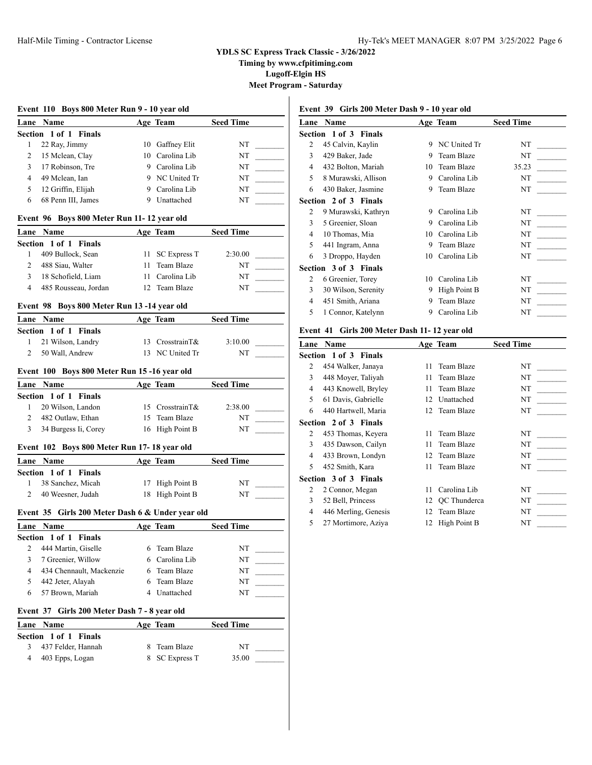**Timing by www.cfpitiming.com**

**Lugoff-Elgin HS**

**Meet Program - Saturday**

|                                                     | Lane Name                                         |    | Age Team                   | <b>Seed Time</b> |
|-----------------------------------------------------|---------------------------------------------------|----|----------------------------|------------------|
|                                                     | Section 1 of 1 Finals                             |    |                            |                  |
| 1                                                   | 22 Ray, Jimmy                                     |    | 10 Gaffney Elit            | NT               |
| 2                                                   | 15 Mclean, Clay                                   |    | 10 Carolina Lib            | NT               |
| 3                                                   | 17 Robinson, Tre                                  |    | 9 Carolina Lib             | NT               |
| 4                                                   | 49 Mclean, Ian                                    |    | 9 NC United Tr             | NT               |
| 5                                                   | 12 Griffin, Elijah                                |    | 9 Carolina Lib             | NT               |
| 6                                                   | 68 Penn III, James                                | 9. | Unattached                 | NT               |
|                                                     | Event 96 Boys 800 Meter Run 11-12 year old        |    |                            |                  |
| Lane                                                | <b>Name</b>                                       |    | Age Team                   | <b>Seed Time</b> |
|                                                     | Section 1 of 1 Finals                             |    |                            |                  |
| 1                                                   | 409 Bullock, Sean                                 | 11 | <b>SC Express T</b>        | 2:30.00          |
| $\overline{2}$                                      | 488 Siau, Walter                                  | 11 | Team Blaze                 | NT               |
| 3                                                   | 18 Schofield, Liam                                |    | 11 Carolina Lib            | NT               |
| 4                                                   | 485 Rousseau, Jordan                              |    | 12 Team Blaze              | NT               |
|                                                     | Event 98 Boys 800 Meter Run 13 -14 year old       |    |                            |                  |
|                                                     | Lane Name                                         |    | Age Team                   | <b>Seed Time</b> |
|                                                     | Section 1 of 1 Finals                             |    |                            |                  |
| 1                                                   | 21 Wilson, Landry                                 |    | 13 CrosstrainT&            | 3:10.00          |
| 2                                                   | 50 Wall, Andrew                                   |    | 13 NC United Tr            | NT               |
|                                                     | Event 100 Boys 800 Meter Run 15-16 year old       |    |                            |                  |
| Lane                                                | <b>Name</b>                                       |    | Age Team                   | <b>Seed Time</b> |
|                                                     | Section 1 of 1 Finals                             |    |                            |                  |
| 1                                                   | 20 Wilson, Landon                                 |    | 15 CrosstrainT&            | 2:38.00          |
| 2                                                   | 482 Outlaw, Ethan                                 |    | 15 Team Blaze              | NT               |
| 3                                                   | 34 Burgess Ii, Corey                              |    | 16 High Point B            | NT               |
|                                                     | Event 102 Boys 800 Meter Run 17-18 year old       |    |                            |                  |
|                                                     |                                                   |    |                            |                  |
|                                                     | Name                                              |    | Age Team                   | <b>Seed Time</b> |
|                                                     | Section 1 of 1 Finals                             |    |                            |                  |
| 1                                                   | 38 Sanchez, Micah                                 |    | 17 High Point B            | NT               |
| $\overline{c}$                                      | 40 Weesner, Judah                                 |    | 18 High Point B            | NT               |
|                                                     | Event 35 Girls 200 Meter Dash 6 & Under year old  |    |                            |                  |
|                                                     | Lane Name                                         |    | Age Team                   | Seed Time        |
|                                                     | 1 of 1 Finals                                     |    |                            |                  |
| 2                                                   | 444 Martin, Giselle                               | 6  | Team Blaze                 | NT               |
| 3                                                   | 7 Greenier, Willow                                |    | 6 Carolina Lib             | NT               |
| 4                                                   |                                                   | 6  | Team Blaze                 |                  |
|                                                     | 434 Chennault, Mackenzie                          |    |                            | NT               |
| 5<br>6                                              | 442 Jeter, Alayah<br>57 Brown, Mariah             | 6  | Team Blaze<br>4 Unattached | NT<br>NT         |
|                                                     |                                                   |    |                            |                  |
|                                                     | Girls 200 Meter Dash 7 - 8 year old               |    |                            |                  |
|                                                     | Name                                              |    | Age Team                   | <b>Seed Time</b> |
| Lane<br>Section<br>Event 37<br>Lane<br>Section<br>3 | $1$ of $1$<br><b>Finals</b><br>437 Felder, Hannah | 8  | Team Blaze                 | NT               |

# **Event 39 Girls 200 Meter Dash 9 - 10 year old**

| Lane | <b>Name</b>           |    | Age Team     | <b>Seed Time</b> |
|------|-----------------------|----|--------------|------------------|
|      | Section 1 of 3 Finals |    |              |                  |
| 2    | 45 Calvin, Kaylin     | 9  | NC United Tr | NT               |
| 3    | 429 Baker, Jade       | 9  | Team Blaze   | NT               |
| 4    | 432 Bolton, Mariah    | 10 | Team Blaze   | 35.23            |
| 5    | 8 Murawski, Allison   | 9  | Carolina Lib | NT               |
| 6    | 430 Baker, Jasmine    | 9  | Team Blaze   | NT               |
|      | Section 2 of 3 Finals |    |              |                  |
| 2    | 9 Murawski, Kathryn   | 9  | Carolina Lib | NT               |
| 3    | 5 Greenier, Sloan     | 9  | Carolina Lib | NT               |
| 4    | 10 Thomas, Mia        | 10 | Carolina Lib | NT               |
| 5    | 441 Ingram, Anna      | 9  | Team Blaze   | NT               |
| 6    | 3 Droppo, Hayden      | 10 | Carolina Lib | NT               |
|      | Section 3 of 3 Finals |    |              |                  |
| 2    | 6 Greenier, Torey     | 10 | Carolina Lib | NT               |
| 3    | 30 Wilson, Serenity   | 9  | High Point B | NT               |
| 4    | 451 Smith, Ariana     | 9  | Team Blaze   | NT               |
| 5    | 1 Connor, Katelynn    | 9  | Carolina Lib | NT               |
|      |                       |    |              |                  |

# **Event 41 Girls 200 Meter Dash 11- 12 year old**

| Lane | <b>Name</b>                  |    | Age Team        | <b>Seed Time</b> |
|------|------------------------------|----|-----------------|------------------|
|      | <b>Section 1 of 3 Finals</b> |    |                 |                  |
| 2    | 454 Walker, Janaya           | 11 | Team Blaze      | NT               |
| 3    | 448 Moyer, Taliyah           | 11 | Team Blaze      | NT               |
| 4    | 443 Knowell, Bryley          | 11 | Team Blaze      | NT               |
| 5    | 61 Davis, Gabrielle          | 12 | Unattached      | NT               |
| 6    | 440 Hartwell, Maria          |    | 12 Team Blaze   | NT               |
|      | <b>Section 2 of 3 Finals</b> |    |                 |                  |
| 2    | 453 Thomas, Keyera           |    | 11 Team Blaze   | NT               |
| 3    | 435 Dawson, Cailyn           | 11 | Team Blaze      | NT               |
| 4    | 433 Brown, Londyn            |    | 12 Team Blaze   | NT               |
| 5    | 452 Smith, Kara              | 11 | Team Blaze      | NT               |
|      | <b>Section 3 of 3 Finals</b> |    |                 |                  |
| 2    | 2 Connor, Megan              | 11 | Carolina Lib    | NT               |
| 3    | 52 Bell, Princess            |    | 12 OC Thunderca | NT               |
| 4    | 446 Merling, Genesis         |    | 12 Team Blaze   | NT               |
| 5    | 27 Mortimore, Aziya          | 12 | High Point B    | NT               |
|      |                              |    |                 |                  |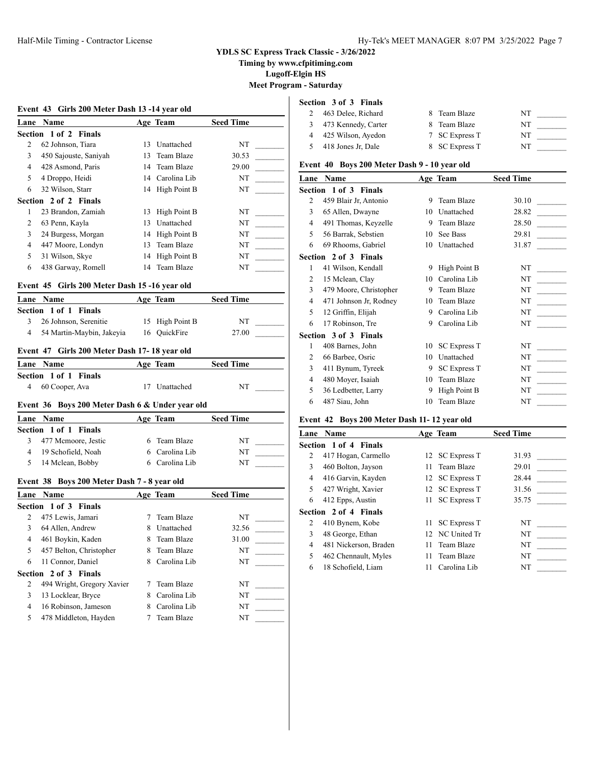**Timing by www.cfpitiming.com**

**Lugoff-Elgin HS**

**Meet Program - Saturday**

# **Event 43 Girls 200 Meter Dash 13 -14 year old Lane Name Age Team Seed Time Section 1 of 2 Finals** 2 62 Johnson, Tiara 13 Unattached NT 3 450 Sajouste, Saniyah 13 Team Blaze 30.53 \_\_\_\_\_\_\_\_\_ 4 428 Asmond, Paris 14 Team Blaze 29.00 5 4 Droppo, Heidi 14 Carolina Lib NT 6 32 Wilson, Starr 14 High Point B NT **Section 2 of 2 Finals** 1 23 Brandon, Zamiah 13 High Point B NT 2 63 Penn, Kayla 13 Unattached NT 3 24 Burgess, Morgan 14 High Point B NT 4 447 Moore, Londyn 13 Team Blaze NT 5 31 Wilson, Skye 14 High Point B NT 6 438 Garway, Romell 14 Team Blaze NT \_\_\_\_\_\_\_\_\_ **Event 45 Girls 200 Meter Dash 15 -16 year old Lane Name Age Team Seed Time Section 1 of 1 Finals** 3 26 Johnson, Serenitie 15 High Point B NT \_\_\_\_\_\_\_\_\_ 4 54 Martin-Maybin, Jakeyia 16 QuickFire 27.00 **Event 47 Girls 200 Meter Dash 17- 18 year old Lane Name Age Team Seed Time Section 1 of 1 Finals** 4 60 Cooper, Ava 17 Unattached NT **Event 36 Boys 200 Meter Dash 6 & Under year old Lane Name Age Team Seed Time Section 1 of 1 Finals** 3 477 Mcmoore, Jestic 6 Team Blaze NT 4 19 Schofield, Noah 6 Carolina Lib NT 5 14 Mclean, Bobby 6 Carolina Lib NT **Event 38 Boys 200 Meter Dash 7 - 8 year old Lane Name Age Team Seed Time Section 1 of 3 Finals** 2 475 Lewis, Jamari 7 Team Blaze NT 3 64 Allen, Andrew 8 Unattached 32.56 4 461 Boykin, Kaden 8 Team Blaze 31.00 5 457 Belton, Christopher 8 Team Blaze NT 6 11 Connor, Daniel 8 Carolina Lib NT **Section 2 of 3 Finals** 2 494 Wright, Gregory Xavier 7 Team Blaze NT

|                         |  | TVAIII DREV    |    |
|-------------------------|--|----------------|----|
| 3 13 Locklear, Bryce    |  | 8 Carolina Lib | NT |
| 4 16 Robinson, Jameson  |  | 8 Carolina Lib | NT |
| 5 478 Middleton, Hayden |  | 7 Team Blaze   | NT |

# **Section 3 of 3 Finals**

| 463 Delee, Richard    | 8 Team Blaze   | NT |  |
|-----------------------|----------------|----|--|
| 3 473 Kennedy, Carter | 8 Team Blaze   | NT |  |
| 4 425 Wilson, Ayedon  | 7 SC Express T | NT |  |
| 418 Jones Jr, Dale    | 8 SC Express T | NT |  |

#### **Event 40 Boys 200 Meter Dash 9 - 10 year old**

| Name                         |    |                     | <b>Seed Time</b> |  |
|------------------------------|----|---------------------|------------------|--|
| <b>Section 1 of 3 Finals</b> |    |                     |                  |  |
| 459 Blair Jr, Antonio        | 9  | Team Blaze          | 30.10            |  |
| 65 Allen, Dwayne             | 10 | Unattached          | 28.82            |  |
| 491 Thomas, Keyzelle         | 9  | Team Blaze          | 28.50            |  |
| 56 Barrak, Sebstien          | 10 | See Bass            | 29.81            |  |
| 69 Rhooms, Gabriel           | 10 | Unattached          | 31.87            |  |
| <b>Section 2 of 3 Finals</b> |    |                     |                  |  |
| 41 Wilson, Kendall           | 9  | High Point B        | NT               |  |
| 15 Mclean, Clay              | 10 | Carolina Lib        | NT               |  |
| 479 Moore, Christopher       | 9  | Team Blaze          | NT               |  |
| 471 Johnson Jr, Rodney       | 10 | Team Blaze          | NT               |  |
| 12 Griffin, Elijah           | 9  | Carolina Lib        | NT               |  |
| 17 Robinson, Tre             | 9  | Carolina Lib        | NT               |  |
| <b>Section 3 of 3 Finals</b> |    |                     |                  |  |
| 408 Barnes, John             | 10 | <b>SC Express T</b> | NT               |  |
| 66 Barbee, Osric             | 10 | Unattached          | NT               |  |
| 411 Bynum, Tyreek            | 9  | <b>SC Express T</b> | NT               |  |
| 480 Moyer, Isaiah            | 10 | Team Blaze          | NT               |  |
| 36 Ledbetter, Larry          | 9  | High Point B        | NT               |  |
| 487 Siau, John               | 10 | Team Blaze          | NT               |  |
|                              |    |                     | Age Team         |  |

### **Event 42 Boys 200 Meter Dash 11- 12 year old**

| Lane | <b>Name</b>                  |    | Age Team        | <b>Seed Time</b> |
|------|------------------------------|----|-----------------|------------------|
|      | <b>Section 1 of 4 Finals</b> |    |                 |                  |
| 2    | 417 Hogan, Carmello          |    | 12 SC Express T | 31.93            |
| 3    | 460 Bolton, Jayson           |    | 11 Team Blaze   | 29.01            |
| 4    | 416 Garvin, Kayden           |    | 12 SC Express T | 28.44            |
| 5    | 427 Wright, Xavier           |    | 12 SC Express T | 31.56            |
| 6    | 412 Epps, Austin             |    | 11 SC Express T | 35.75            |
|      | <b>Section 2 of 4 Finals</b> |    |                 |                  |
| 2    | 410 Bynem, Kobe              |    | 11 SC Express T | NT               |
| 3    | 48 George, Ethan             |    | 12 NC United Tr | NT               |
| 4    | 481 Nickerson, Braden        |    | 11 Team Blaze   | NT               |
| 5    | 462 Chennault, Myles         |    | 11 Team Blaze   | NT               |
| 6    | 18 Schofield, Liam           | 11 | Carolina Lib    | NT               |
|      |                              |    |                 |                  |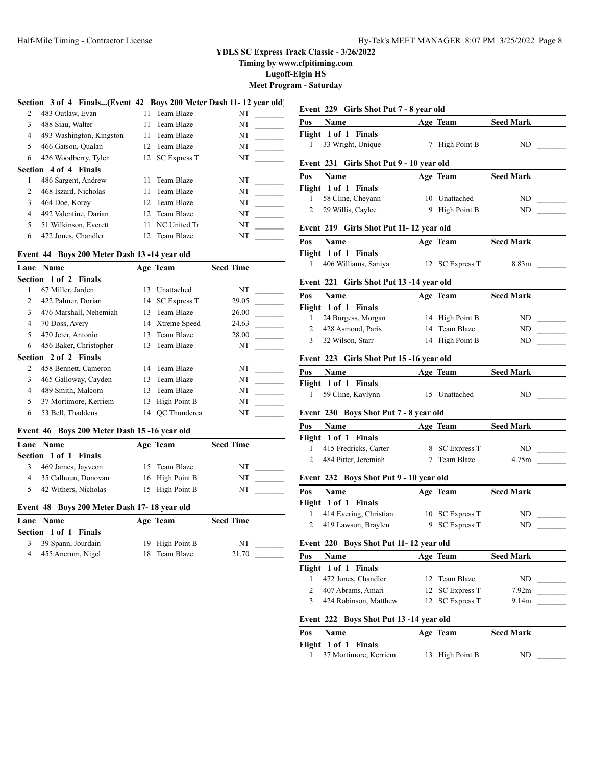**Timing by www.cfpitiming.com**

**Lugoff-Elgin HS**

**Meet Program - Saturday**

|  | Section 3 of 4 Finals(Event 42 Boys 200 Meter Dash 11-12 year old) |  |  |  |
|--|--------------------------------------------------------------------|--|--|--|
|  |                                                                    |  |  |  |

| $\overline{c}$ | 483 Outlaw, Evan         |     | 11 Team Blaze   | NT |
|----------------|--------------------------|-----|-----------------|----|
| 3              | 488 Siau, Walter         | 11. | Team Blaze      | NT |
| 4              | 493 Washington, Kingston |     | 11 Team Blaze   | NT |
| 5              | 466 Gatson, Qualan       |     | 12 Team Blaze   | NT |
| 6              | 426 Woodberry, Tyler     |     | 12 SC Express T | NT |
|                | Section 4 of 4 Finals    |     |                 |    |
|                | 486 Sargent, Andrew      | 11  | Team Blaze      | NT |
| $\mathfrak{D}$ | 468 Iszard, Nicholas     | 11. | Team Blaze      | NT |
| 3              | 464 Doe, Korey           |     | 12 Team Blaze   | NT |
| 4              | 492 Valentine, Darian    |     | 12 Team Blaze   | NT |
| 5              | 51 Wilkinson, Everett    | 11  | NC United Tr    | NT |
| 6              | 472 Jones, Chandler      |     | 12 Team Blaze   | NT |

# **Event 44 Boys 200 Meter Dash 13 -14 year old**

| Lane           | Name                   |     | Age Team        | <b>Seed Time</b> |
|----------------|------------------------|-----|-----------------|------------------|
|                | Section 1 of 2 Finals  |     |                 |                  |
|                | 67 Miller, Jarden      | 13. | Unattached      | NT               |
| $\overline{c}$ | 422 Palmer, Dorian     |     | 14 SC Express T | 29.05            |
| 3              | 476 Marshall, Nehemiah | 13  | Team Blaze      | 26.00            |
| 4              | 70 Doss, Avery         |     | 14 Xtreme Speed | 24.63            |
| 5              | 470 Jeter, Antonio     |     | 13 Team Blaze   | 28.00            |
| 6              | 456 Baker, Christopher |     | 13 Team Blaze   | NT               |
|                | Section 2 of 2 Finals  |     |                 |                  |
| 2              | 458 Bennett, Cameron   |     | 14 Team Blaze   | NT               |
| 3              | 465 Galloway, Cayden   | 13  | Team Blaze      | NT               |
| 4              | 489 Smith, Malcom      |     | 13 Team Blaze   | NT               |
| 5              | 37 Mortimore, Kerriem  | 13  | High Point B    | NT               |
| 6              | 53 Bell. Thaddeus      | 14  | OC Thunderca    | NT               |

# **Event 46 Boys 200 Meter Dash 15 -16 year old**

| Lane Name             | Age Team        | <b>Seed Time</b> |  |
|-----------------------|-----------------|------------------|--|
| Section 1 of 1 Finals |                 |                  |  |
| 469 James, Jayveon    | 15 Team Blaze   | NT               |  |
| 35 Calhoun, Donovan   | 16 High Point B | NT               |  |
| 42 Withers, Nicholas  | 15 High Point B | NT               |  |

#### **Event 48 Boys 200 Meter Dash 17- 18 year old**

| Lane Name             | Age Team        | <b>Seed Time</b> |  |
|-----------------------|-----------------|------------------|--|
| Section 1 of 1 Finals |                 |                  |  |
| 3 39 Spann, Jourdain  | 19 High Point B | NT               |  |
| 4 455 Ancrum, Nigel   | 18 Team Blaze   | 21.70            |  |

|                     | Event 229 Girls Shot Put 7 - 8 year old  |    |                              |                  |  |
|---------------------|------------------------------------------|----|------------------------------|------------------|--|
| Pos                 | Name                                     |    | Age Team                     | <b>Seed Mark</b> |  |
|                     | Flight 1 of 1 Finals                     |    |                              |                  |  |
| 1                   | 33 Wright, Unique                        |    | 7 High Point B               | ND               |  |
|                     | Event 231 Girls Shot Put 9 - 10 year old |    |                              |                  |  |
| Pos                 | Name                                     |    | Age Team                     | Seed Mark        |  |
|                     | Flight 1 of 1 Finals                     |    |                              |                  |  |
| 1                   | 58 Cline, Cheyann                        |    | 10 Unattached                | ND               |  |
| 2                   | 29 Willis, Caylee                        |    | 9 High Point B               | ND               |  |
|                     |                                          |    |                              |                  |  |
|                     | Event 219 Girls Shot Put 11-12 year old  |    |                              |                  |  |
| Pos                 | Name                                     |    | Age Team                     | <b>Seed Mark</b> |  |
|                     | Flight 1 of 1 Finals                     |    |                              |                  |  |
| 1                   | 406 Williams, Saniya                     |    | 12 SC Express T              | 8.83m            |  |
|                     | Event 221 Girls Shot Put 13 -14 year old |    |                              |                  |  |
| Pos                 | Name                                     |    | Age Team                     | <b>Seed Mark</b> |  |
|                     | Flight 1 of 1 Finals                     |    |                              |                  |  |
| 1                   | 24 Burgess, Morgan                       |    | 14 High Point B              | ND               |  |
| $\overline{2}$      | 428 Asmond, Paris                        | 14 | Team Blaze                   | ND               |  |
| 3                   | 32 Wilson, Starr                         |    | 14 High Point B              | ND               |  |
|                     | Event 223 Girls Shot Put 15 -16 year old |    |                              |                  |  |
| Pos                 | Name                                     |    | Age Team                     | Seed Mark        |  |
|                     | Flight 1 of 1 Finals                     |    |                              |                  |  |
| 1                   | 59 Cline, Kaylynn                        |    | 15 Unattached                | ND               |  |
|                     |                                          |    |                              |                  |  |
|                     |                                          |    |                              |                  |  |
|                     | Event 230 Boys Shot Put 7 - 8 year old   |    |                              |                  |  |
| Pos                 | Name                                     |    | Age Team                     | <b>Seed Mark</b> |  |
|                     | Flight 1 of 1 Finals                     |    |                              |                  |  |
| 1<br>$\overline{2}$ | 415 Fredricks, Carter                    | 7  | 8 SC Express T<br>Team Blaze | ND<br>4.75m      |  |
|                     | 484 Pitter, Jeremiah                     |    |                              |                  |  |
|                     | Event 232 Boys Shot Put 9 - 10 year old  |    |                              |                  |  |
| Pos                 | Name                                     |    | Age Team                     | <b>Seed Mark</b> |  |
|                     | Flight 1 of 1 Finals                     |    |                              |                  |  |
| 1                   | 414 Evering, Christian                   |    | 10 SC Express T              | ND               |  |
| 2                   | 419 Lawson, Braylen                      |    | 9 SC Express T               | ND.              |  |
|                     | Event 220 Boys Shot Put 11-12 year old   |    |                              |                  |  |
| Pos                 | Name                                     |    | Age Team                     | <b>Seed Mark</b> |  |
| Flight              | 1 of 1 Finals                            |    |                              |                  |  |
| 1                   | 472 Jones, Chandler                      | 12 | Team Blaze                   | ND.              |  |
| 2                   | 407 Abrams, Amari                        | 12 | <b>SC Express T</b>          | 7.92m            |  |
| 3                   | 424 Robinson, Matthew                    |    | 12 SC Express T              | 9.14m            |  |
| Event 222           | Boys Shot Put 13 -14 year old            |    |                              |                  |  |
| Pos                 |                                          |    | Age Team                     | <b>Seed Mark</b> |  |
|                     | <b>Name</b><br>Flight 1 of 1 Finals      |    |                              |                  |  |
| 1                   | 37 Mortimore, Kerriem                    | 13 | High Point B                 | ND               |  |
|                     |                                          |    |                              |                  |  |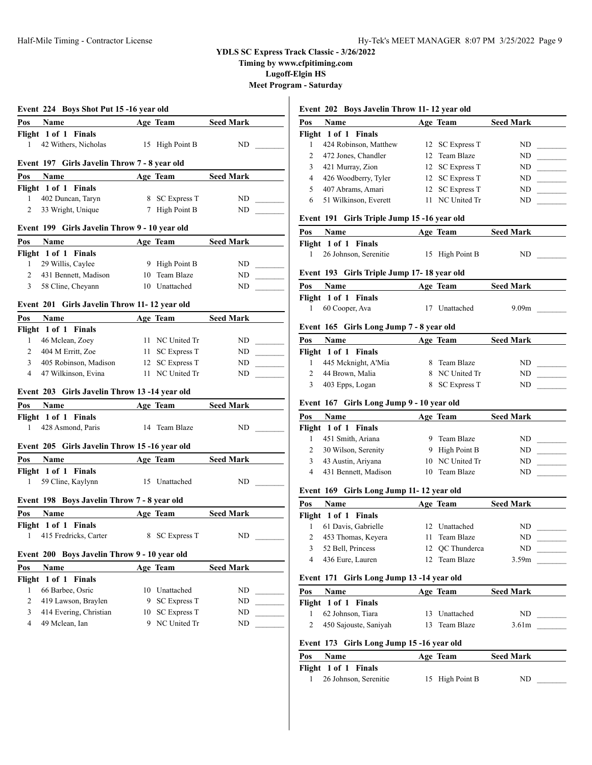**Timing by www.cfpitiming.com**

**Lugoff-Elgin HS**

**Meet Program - Saturday**

|                | Event 224 Boys Shot Put 15 -16 year old               |    |                     |                  |
|----------------|-------------------------------------------------------|----|---------------------|------------------|
| Pos            | Name                                                  |    | Age Team            | <b>Seed Mark</b> |
|                | Flight 1 of 1 Finals                                  |    |                     |                  |
| 1              | 42 Withers, Nicholas                                  |    | 15 High Point B     | ND               |
|                |                                                       |    |                     |                  |
|                | Event 197 Girls Javelin Throw 7 - 8 year old          |    |                     |                  |
| Pos            | Name                                                  |    | Age Team            | <b>Seed Mark</b> |
|                | Flight 1 of 1 Finals                                  |    |                     |                  |
| 1              | 402 Duncan, Taryn                                     |    | 8 SC Express T      | ND               |
| $\overline{2}$ | 33 Wright, Unique                                     |    | 7 High Point B      | ND               |
|                | Event 199 Girls Javelin Throw 9 - 10 year old         |    |                     |                  |
| Pos            | Name                                                  |    | Age Team            | <b>Seed Mark</b> |
|                | Flight 1 of 1 Finals                                  |    |                     |                  |
| 1              | 29 Willis, Caylee                                     |    | 9 High Point B      | ND               |
| $\overline{2}$ | 431 Bennett, Madison                                  |    | 10 Team Blaze       | ND               |
| 3              | 58 Cline, Cheyann                                     |    | 10 Unattached       | ND               |
|                |                                                       |    |                     |                  |
|                | Event 201 Girls Javelin Throw 11-12 year old          |    |                     |                  |
| Pos            | Name                                                  |    | Age Team            | <b>Seed Mark</b> |
|                | Flight 1 of 1 Finals                                  |    |                     |                  |
| 1              | 46 Mclean, Zoey                                       | 11 | NC United Tr        | ND               |
| $\overline{2}$ | 404 M Erritt, Zoe                                     | 11 | <b>SC Express T</b> | ND               |
| 3              | 405 Robinson, Madison                                 |    | 12 SC Express T     | ND.              |
| 4              | 47 Wilkinson, Evina                                   |    | 11 NC United Tr     | ND               |
|                | Event 203 Girls Javelin Throw 13-14 year old          |    |                     |                  |
| Pos            | Name                                                  |    | Age Team            | <b>Seed Mark</b> |
|                | Flight 1 of 1 Finals                                  |    |                     |                  |
| 1              | 428 Asmond, Paris                                     |    | 14 Team Blaze       | ND               |
|                |                                                       |    |                     |                  |
|                | Event 205 Girls Javelin Throw 15-16 year old          |    |                     |                  |
| Pos            | <b>Name</b>                                           |    | Age Team            | <b>Seed Mark</b> |
|                | Flight 1 of 1 Finals                                  |    |                     |                  |
| 1              | 59 Cline, Kaylynn                                     |    | 15 Unattached       | ND               |
|                |                                                       |    |                     |                  |
|                | <b>Boys Javelin Throw 7 - 8 year old</b><br>Event 198 |    |                     |                  |
| Pos            | <b>Name</b>                                           |    | Age Team            | <b>Seed Mark</b> |
|                | Flight 1 of 1<br>Finals                               |    |                     |                  |
| 1              | 415 Fredricks, Carter                                 | 8  | <b>SC Express T</b> | ND               |
|                |                                                       |    |                     |                  |
|                | Boys Javelin Throw 9 - 10 year old<br>Event 200       |    |                     |                  |
| Pos            | Name                                                  |    | Age Team            | <b>Seed Mark</b> |
| Flight         | 1 of 1 Finals                                         |    |                     |                  |
| 1              | 66 Barbee, Osric                                      | 10 | Unattached          | ND               |
| 2              | 419 Lawson, Braylen                                   | 9  | <b>SC Express T</b> | ND               |
| 3              | 414 Evering, Christian                                | 10 | <b>SC Express T</b> | ND               |

# **Event 202 Boys Javelin Throw 11- 12 year old**

|                         |                                           |   | $\sqrt{ }$          |                   |                            |
|-------------------------|-------------------------------------------|---|---------------------|-------------------|----------------------------|
| <b>Pos</b>              | Name                                      |   | Age Team            | <b>Seed Mark</b>  |                            |
|                         | Flight 1 of 1<br><b>Finals</b>            |   |                     |                   |                            |
| 1                       | 424 Robinson, Matthew                     |   | 12 SC Express T     | ND                |                            |
| 2                       | 472 Jones, Chandler                       |   | 12 Team Blaze       | ND                |                            |
| 3                       | 421 Murray, Zion                          |   | 12 SC Express T     | ND                |                            |
| $\overline{4}$          | 426 Woodberry, Tyler                      |   | 12 SC Express T     | ND.               |                            |
| 5                       | 407 Abrams, Amari                         |   | 12 SC Express T     | ND                |                            |
| 6                       | 51 Wilkinson, Everett                     |   | 11 NC United Tr     | ND                |                            |
| Event 191               | Girls Triple Jump 15 -16 year old         |   |                     |                   |                            |
| Pos                     | Name                                      |   | Age Team            | <b>Seed Mark</b>  |                            |
|                         | Flight 1 of 1 Finals                      |   |                     |                   |                            |
| 1                       | 26 Johnson, Serenitie                     |   | 15 High Point B     | ND                |                            |
| Event 193               | Girls Triple Jump 17-18 year old          |   |                     |                   |                            |
| Pos                     | Name                                      |   | Age Team            | <b>Seed Mark</b>  |                            |
|                         | Flight 1 of 1 Finals                      |   |                     |                   |                            |
| 1                       | 60 Cooper, Ava                            |   | 17 Unattached       | 9.09m             |                            |
|                         |                                           |   |                     |                   |                            |
| Event 165               | Girls Long Jump 7 - 8 year old            |   |                     |                   |                            |
| Pos                     | Name                                      |   | Age Team            | <b>Seed Mark</b>  |                            |
|                         | Flight 1 of 1 Finals                      |   |                     |                   |                            |
| 1                       | 445 Mcknight, A'Mia                       |   | 8 Team Blaze        | ND                | $\mathcal{L}(\mathcal{L})$ |
| $\overline{c}$          | 44 Brown, Malia                           |   | 8 NC United Tr      | ND                |                            |
| 3                       | 403 Epps, Logan                           | 8 | <b>SC Express T</b> | ND                |                            |
|                         | Event 167 Girls Long Jump 9 - 10 year old |   |                     |                   |                            |
| Pos                     | Name                                      |   | Age Team            | Seed Mark         |                            |
|                         | Flight 1 of 1<br><b>Finals</b>            |   |                     |                   |                            |
| 1                       | 451 Smith, Ariana                         |   | 9 Team Blaze        | ND                |                            |
| 2                       | 30 Wilson, Serenity                       |   | 9 High Point B      | ND.               | $\overline{\phantom{a}}$   |
| 3                       | 43 Austin, Ariyana                        |   | 10 NC United Tr     | ND.               |                            |
| $\overline{4}$          | 431 Bennett, Madison                      |   | 10 Team Blaze       | ND                |                            |
|                         |                                           |   |                     |                   |                            |
| Event 169<br><b>Pos</b> | Girls Long Jump 11-12 year old<br>Name    |   | Age Team            | <b>Seed Mark</b>  |                            |
|                         | Flight 1 of 1 Finals                      |   |                     |                   |                            |
| 1                       | 61 Davis, Gabrielle                       |   | 12 Unattached       | ND                |                            |
|                         |                                           |   |                     |                   |                            |
| $\overline{2}$          | 453 Thomas, Keyera                        |   | 11 Team Blaze       | ND                |                            |
| 3                       | 52 Bell, Princess                         |   | 12 OC Thunderca     | ND                | $\mathcal{L}(\mathcal{L})$ |
| $\overline{4}$          | 436 Eure, Lauren                          |   | 12 Team Blaze       | 3.59 <sub>m</sub> |                            |
|                         | Event 171 Girls Long Jump 13 -14 year old |   |                     |                   |                            |
| Pos                     | <b>Name</b>                               |   | Age Team            | <b>Seed Mark</b>  |                            |
|                         | Flight 1 of 1 Finals                      |   |                     |                   |                            |
| 1                       | 62 Johnson, Tiara                         |   | 13 Unattached       | ND                |                            |

| Event 173 Girls Long Jump 15 -16 year old |  |  |  |
|-------------------------------------------|--|--|--|
|-------------------------------------------|--|--|--|

| Pos | <b>Name</b>           | Age Team        | <b>Seed Mark</b> |
|-----|-----------------------|-----------------|------------------|
|     | Flight 1 of 1 Finals  |                 |                  |
|     | 26 Johnson, Serenitie | 15 High Point B | ND               |

2 450 Sajouste, Saniyah 13 Team Blaze 3.61m